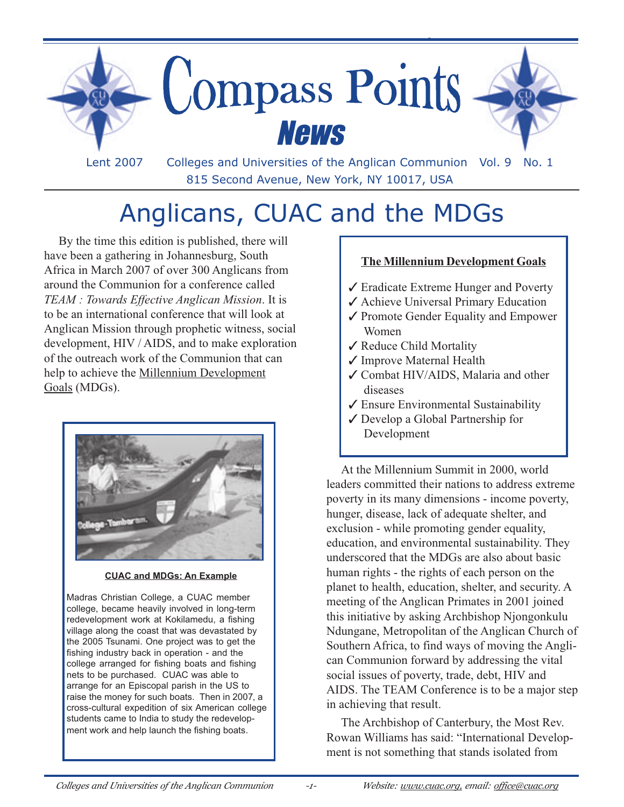

815 Second Avenue, New York, NY 10017, USA

# Anglicans, CUAC and the MDGs

By the time this edition is published, there will have been a gathering in Johannesburg, South Africa in March 2007 of over 300 Anglicans from around the Communion for a conference called *TEAM : Towards Effective Anglican Mission*. It is to be an international conference that will look at Anglican Mission through prophetic witness, social development, HIV / AIDS, and to make exploration of the outreach work of the Communion that can help to achieve the Millennium Development Goals (MDGs).



**CUAC and MDGs: An Example**

Madras Christian College, a CUAC member college, became heavily involved in long-term redevelopment work at Kokilamedu, a fishing village along the coast that was devastated by the 2005 Tsunami. One project was to get the fishing industry back in operation - and the college arranged for fishing boats and fishing nets to be purchased. CUAC was able to arrange for an Episcopal parish in the US to raise the money for such boats. Then in 2007, a cross-cultural expedition of six American college students came to India to study the redevelopment work and help launch the fishing boats.

#### **The Millennium Development Goals**

- ✓ Eradicate Extreme Hunger and Poverty
- ✓ Achieve Universal Primary Education
- ✓ Promote Gender Equality and Empower Women
- ✓ Reduce Child Mortality
- ✓ Improve Maternal Health
- ✓ Combat HIV/AIDS, Malaria and other diseases
- ✓ Ensure Environmental Sustainability
- ✓ Develop a Global Partnership for Development

At the Millennium Summit in 2000, world leaders committed their nations to address extreme poverty in its many dimensions - income poverty, hunger, disease, lack of adequate shelter, and exclusion - while promoting gender equality, education, and environmental sustainability. They underscored that the MDGs are also about basic human rights - the rights of each person on the planet to health, education, shelter, and security. A meeting of the Anglican Primates in 2001 joined this initiative by asking Archbishop Njongonkulu Ndungane, Metropolitan of the Anglican Church of Southern Africa, to find ways of moving the Anglican Communion forward by addressing the vital social issues of poverty, trade, debt, HIV and AIDS. The TEAM Conference is to be a major step in achieving that result.

The Archbishop of Canterbury, the Most Rev. Rowan Williams has said: "International Development is not something that stands isolated from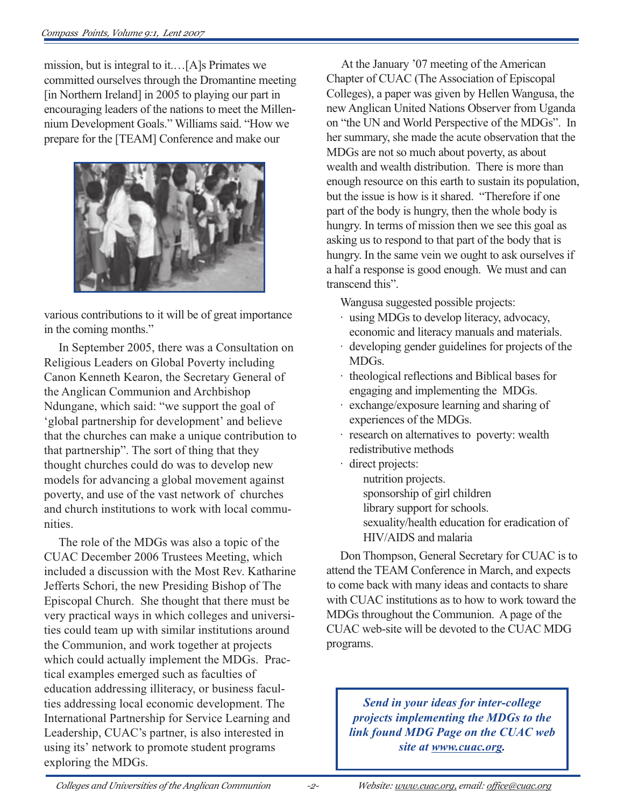mission, but is integral to it.…[A]s Primates we committed ourselves through the Dromantine meeting [in Northern Ireland] in 2005 to playing our part in encouraging leaders of the nations to meet the Millennium Development Goals." Williams said. "How we prepare for the [TEAM] Conference and make our



various contributions to it will be of great importance in the coming months."

In September 2005, there was a Consultation on Religious Leaders on Global Poverty including Canon Kenneth Kearon, the Secretary General of the Anglican Communion and Archbishop Ndungane, which said: "we support the goal of 'global partnership for development' and believe that the churches can make a unique contribution to that partnership". The sort of thing that they thought churches could do was to develop new models for advancing a global movement against poverty, and use of the vast network of churches and church institutions to work with local communities.

The role of the MDGs was also a topic of the CUAC December 2006 Trustees Meeting, which included a discussion with the Most Rev. Katharine Jefferts Schori, the new Presiding Bishop of The Episcopal Church. She thought that there must be very practical ways in which colleges and universities could team up with similar institutions around the Communion, and work together at projects which could actually implement the MDGs. Practical examples emerged such as faculties of education addressing illiteracy, or business faculties addressing local economic development. The International Partnership for Service Learning and Leadership, CUAC's partner, is also interested in using its' network to promote student programs exploring the MDGs.

At the January '07 meeting of the American Chapter of CUAC (The Association of Episcopal Colleges), a paper was given by Hellen Wangusa, the new Anglican United Nations Observer from Uganda on "the UN and World Perspective of the MDGs". In her summary, she made the acute observation that the MDGs are not so much about poverty, as about wealth and wealth distribution. There is more than enough resource on this earth to sustain its population, but the issue is how is it shared. "Therefore if one part of the body is hungry, then the whole body is hungry. In terms of mission then we see this goal as asking us to respond to that part of the body that is hungry. In the same vein we ought to ask ourselves if a half a response is good enough. We must and can transcend this".

Wangusa suggested possible projects:

- · using MDGs to develop literacy, advocacy, economic and literacy manuals and materials.
- · developing gender guidelines for projects of the MDGs.
- · theological reflections and Biblical bases for engaging and implementing the MDGs.
- · exchange/exposure learning and sharing of experiences of the MDGs.
- · research on alternatives to poverty: wealth redistributive methods
- · direct projects: nutrition projects. sponsorship of girl children library support for schools. sexuality/health education for eradication of HIV/AIDS and malaria

Don Thompson, General Secretary for CUAC is to attend the TEAM Conference in March, and expects to come back with many ideas and contacts to share with CUAC institutions as to how to work toward the MDGs throughout the Communion. A page of the CUAC web-site will be devoted to the CUAC MDG programs.

*Send in your ideas for inter-college projects implementing the MDGs to the link found MDG Page on the CUAC web site at www.cuac.org.*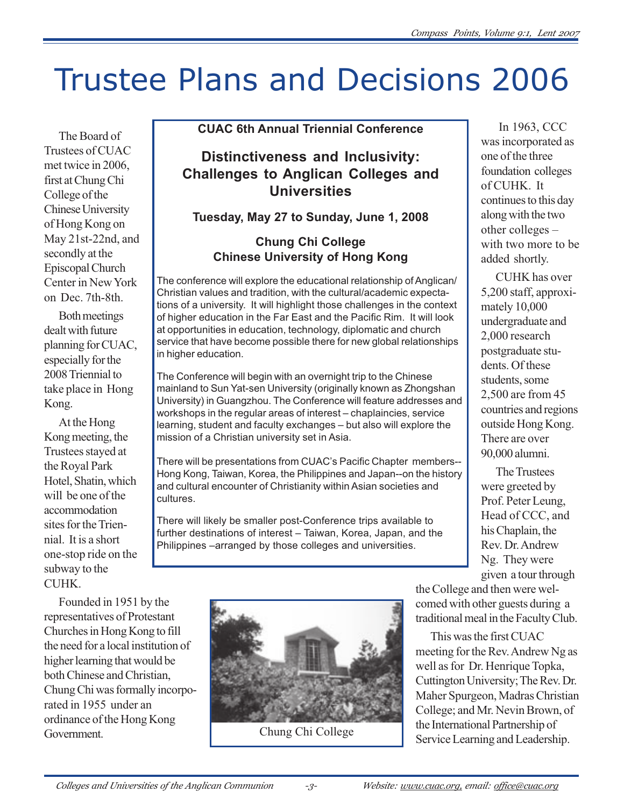# Trustee Plans and Decisions 2006

The Board of Trustees of CUAC met twice in 2006, first at Chung Chi College of the Chinese University of Hong Kong on May 21st-22nd, and secondly at the Episcopal Church Center in New York on Dec. 7th-8th.

Both meetings dealt with future planning for CUAC, especially for the 2008 Triennial to take place in Hong Kong.

At the Hong Kong meeting, the Trustees stayed at the Royal Park Hotel, Shatin, which will be one of the accommodation sites for the Triennial. It is a short one-stop ride on the subway to the CUHK.

Founded in 1951 by the representatives of Protestant Churches in Hong Kong to fill the need for a local institution of higher learning that would be both Chinese and Christian, Chung Chi was formally incorporated in 1955 under an ordinance of the Hong Kong Government.

### **CUAC 6th Annual Triennial Conference**

# **Distinctiveness and Inclusivity: Challenges to Anglican Colleges and Universities**

**Tuesday, May 27 to Sunday, June 1, 2008**

## **Chung Chi College Chinese University of Hong Kong**

The conference will explore the educational relationship of Anglican/ Christian values and tradition, with the cultural/academic expectations of a university. It will highlight those challenges in the context of higher education in the Far East and the Pacific Rim. It will look at opportunities in education, technology, diplomatic and church service that have become possible there for new global relationships in higher education.

The Conference will begin with an overnight trip to the Chinese mainland to Sun Yat-sen University (originally known as Zhongshan University) in Guangzhou. The Conference will feature addresses and workshops in the regular areas of interest – chaplaincies, service learning, student and faculty exchanges – but also will explore the mission of a Christian university set in Asia.

There will be presentations from CUAC's Pacific Chapter members-- Hong Kong, Taiwan, Korea, the Philippines and Japan--on the history and cultural encounter of Christianity within Asian societies and cultures.

There will likely be smaller post-Conference trips available to further destinations of interest – Taiwan, Korea, Japan, and the Philippines –arranged by those colleges and universities.



Chung Chi College

 In 1963, CCC was incorporated as one of the three foundation colleges of CUHK. It continues to this day along with the two other colleges – with two more to be added shortly.

CUHK has over 5,200 staff, approximately 10,000 undergraduate and 2,000 research postgraduate students. Of these students, some 2,500 are from 45 countries and regions outside Hong Kong. There are over 90,000 alumni.

The Trustees were greeted by Prof. Peter Leung, Head of CCC, and his Chaplain, the Rev. Dr. Andrew Ng. They were given a tour through

the College and then were welcomed with other guests during a traditional meal in the Faculty Club.

This was the first CUAC meeting for the Rev. Andrew Ng as well as for Dr. Henrique Topka, Cuttington University; The Rev. Dr. Maher Spurgeon, Madras Christian College; and Mr. Nevin Brown, of the International Partnership of Service Learning and Leadership.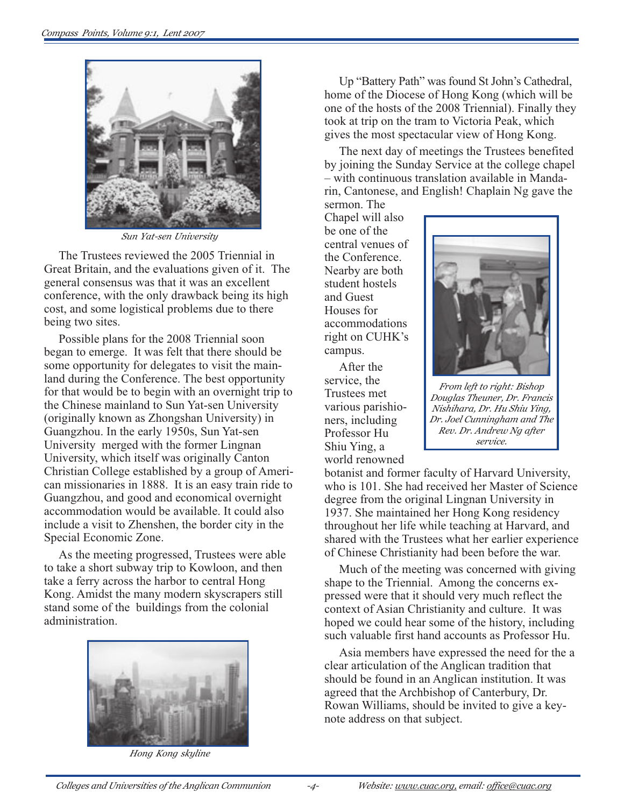

*Sun Yat-sen University*

The Trustees reviewed the 2005 Triennial in Great Britain, and the evaluations given of it. The general consensus was that it was an excellent conference, with the only drawback being its high cost, and some logistical problems due to there being two sites.

Possible plans for the 2008 Triennial soon began to emerge. It was felt that there should be some opportunity for delegates to visit the mainland during the Conference. The best opportunity for that would be to begin with an overnight trip to the Chinese mainland to Sun Yat-sen University (originally known as Zhongshan University) in Guangzhou. In the early 1950s, Sun Yat-sen University merged with the former Lingnan University, which itself was originally Canton Christian College established by a group of American missionaries in 1888. It is an easy train ride to Guangzhou, and good and economical overnight accommodation would be available. It could also include a visit to Zhenshen, the border city in the Special Economic Zone.

As the meeting progressed, Trustees were able to take a short subway trip to Kowloon, and then take a ferry across the harbor to central Hong Kong. Amidst the many modern skyscrapers still stand some of the buildings from the colonial administration.



*Hong Kong skyline*

Up "Battery Path" was found St John's Cathedral, home of the Diocese of Hong Kong (which will be one of the hosts of the 2008 Triennial). Finally they took at trip on the tram to Victoria Peak, which gives the most spectacular view of Hong Kong.

The next day of meetings the Trustees benefited by joining the Sunday Service at the college chapel – with continuous translation available in Mandarin, Cantonese, and English! Chaplain Ng gave the

sermon. The Chapel will also be one of the central venues of the Conference. Nearby are both student hostels and Guest Houses for accommodations right on CUHK's campus.

After the service, the Trustees met various parishioners, including Professor Hu Shiu Ying, a world renowned



*From left to right: Bishop Douglas Theuner, Dr. Francis Nishihara, Dr. Hu Shiu Ying, Dr. Joel Cunningham and The Rev. Dr. Andrew Ng after service.*

botanist and former faculty of Harvard University, who is 101. She had received her Master of Science degree from the original Lingnan University in 1937. She maintained her Hong Kong residency throughout her life while teaching at Harvard, and shared with the Trustees what her earlier experience of Chinese Christianity had been before the war.

Much of the meeting was concerned with giving shape to the Triennial. Among the concerns expressed were that it should very much reflect the context of Asian Christianity and culture. It was hoped we could hear some of the history, including such valuable first hand accounts as Professor Hu.

Asia members have expressed the need for the a clear articulation of the Anglican tradition that should be found in an Anglican institution. It was agreed that the Archbishop of Canterbury, Dr. Rowan Williams, should be invited to give a keynote address on that subject.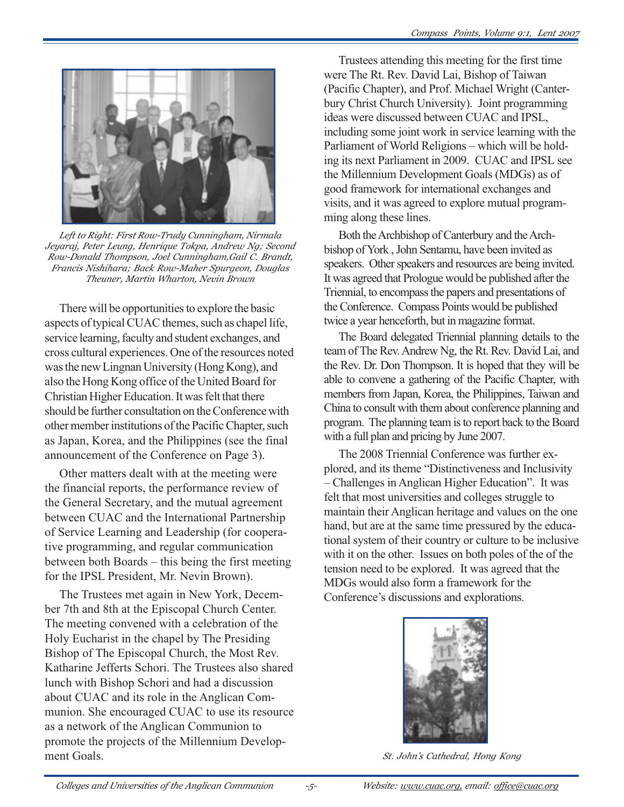

*Left to Right: First Row-Trudy Cunningham, Nirmala Jeyaraj, Peter Leung, Henrique Tokpa, Andrew Ng; Second Row-Donald Thompson, Joel Cunningham,Gail C. Brandt, Francis Nishihara; Back Row-Maher Spurgeon, Douglas Theuner, Martin Wharton, Nevin Brown*

There will be opportunities to explore the basic aspects of typical CUAC themes, such as chapel life, service learning, faculty and student exchanges, and cross cultural experiences. One of the resources noted was the new Lingnan University (Hong Kong), and also the Hong Kong office of the United Board for Christian Higher Education. It was felt that there should be further consultation on the Conference with other member institutions of the Pacific Chapter, such as Japan, Korea, and the Philippines (see the final announcement of the Conference on Page 3).

Other matters dealt with at the meeting were the financial reports, the performance review of the General Secretary, and the mutual agreement between CUAC and the International Partnership of Service Learning and Leadership (for cooperative programming, and regular communication between both Boards – this being the first meeting for the IPSL President, Mr. Nevin Brown).

The Trustees met again in New York, December 7th and 8th at the Episcopal Church Center. The meeting convened with a celebration of the Holy Eucharist in the chapel by The Presiding Bishop of The Episcopal Church, the Most Rev. Katharine Jefferts Schori. The Trustees also shared lunch with Bishop Schori and had a discussion about CUAC and its role in the Anglican Communion. She encouraged CUAC to use its resource as a network of the Anglican Communion to promote the projects of the Millennium Development Goals.

Trustees attending this meeting for the first time were The Rt. Rev. David Lai, Bishop of Taiwan (Pacific Chapter), and Prof. Michael Wright (Canterbury Christ Church University). Joint programming ideas were discussed between CUAC and IPSL, including some joint work in service learning with the Parliament of World Religions – which will be holding its next Parliament in 2009. CUAC and IPSL see the Millennium Development Goals (MDGs) as of good framework for international exchanges and visits, and it was agreed to explore mutual programming along these lines.

Both the Archbishop of Canterbury and the Archbishop of York , John Sentamu, have been invited as speakers. Other speakers and resources are being invited. It was agreed that Prologue would be published after the Triennial, to encompass the papers and presentations of the Conference. Compass Points would be published twice a year henceforth, but in magazine format.

The Board delegated Triennial planning details to the team of The Rev. Andrew Ng, the Rt. Rev. David Lai, and the Rev. Dr. Don Thompson. It is hoped that they will be able to convene a gathering of the Pacific Chapter, with members from Japan, Korea, the Philippines, Taiwan and China to consult with them about conference planning and program. The planning team is to report back to the Board with a full plan and pricing by June 2007.

The 2008 Triennial Conference was further explored, and its theme "Distinctiveness and Inclusivity – Challenges in Anglican Higher Education". It was felt that most universities and colleges struggle to maintain their Anglican heritage and values on the one hand, but are at the same time pressured by the educational system of their country or culture to be inclusive with it on the other. Issues on both poles of the of the tension need to be explored. It was agreed that the MDGs would also form a framework for the Conference's discussions and explorations.



*St. John's Cathedral, Hong Kong*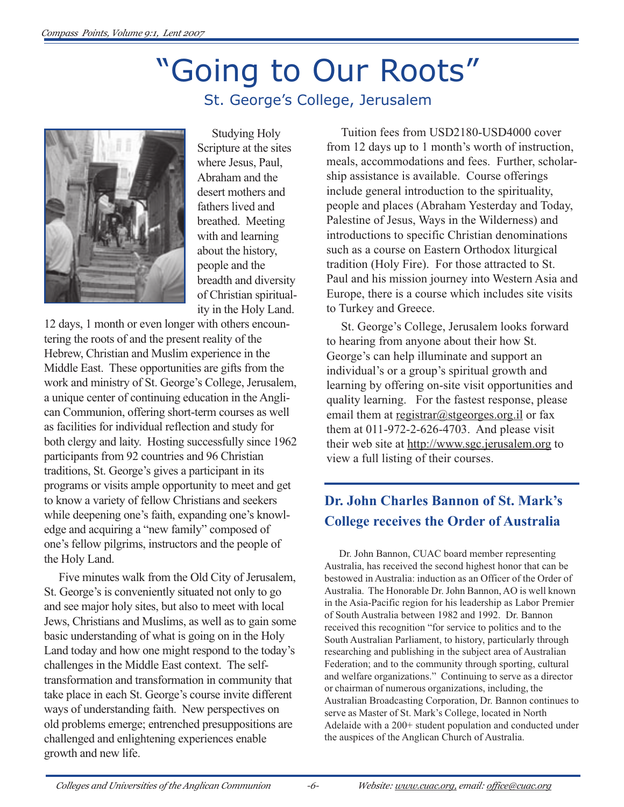# "Going to Our Roots"





Studying Holy Scripture at the sites where Jesus, Paul, Abraham and the desert mothers and fathers lived and breathed. Meeting with and learning about the history, people and the breadth and diversity of Christian spirituality in the Holy Land.

12 days, 1 month or even longer with others encountering the roots of and the present reality of the Hebrew, Christian and Muslim experience in the Middle East. These opportunities are gifts from the work and ministry of St. George's College, Jerusalem, a unique center of continuing education in the Anglican Communion, offering short-term courses as well as facilities for individual reflection and study for both clergy and laity. Hosting successfully since 1962 participants from 92 countries and 96 Christian traditions, St. George's gives a participant in its programs or visits ample opportunity to meet and get to know a variety of fellow Christians and seekers while deepening one's faith, expanding one's knowledge and acquiring a "new family" composed of one's fellow pilgrims, instructors and the people of the Holy Land.

Five minutes walk from the Old City of Jerusalem, St. George's is conveniently situated not only to go and see major holy sites, but also to meet with local Jews, Christians and Muslims, as well as to gain some basic understanding of what is going on in the Holy Land today and how one might respond to the today's challenges in the Middle East context. The selftransformation and transformation in community that take place in each St. George's course invite different ways of understanding faith. New perspectives on old problems emerge; entrenched presuppositions are challenged and enlightening experiences enable growth and new life.

Tuition fees from USD2180-USD4000 cover from 12 days up to 1 month's worth of instruction, meals, accommodations and fees. Further, scholarship assistance is available. Course offerings include general introduction to the spirituality, people and places (Abraham Yesterday and Today, Palestine of Jesus, Ways in the Wilderness) and introductions to specific Christian denominations such as a course on Eastern Orthodox liturgical tradition (Holy Fire). For those attracted to St. Paul and his mission journey into Western Asia and Europe, there is a course which includes site visits to Turkey and Greece.

St. George's College, Jerusalem looks forward to hearing from anyone about their how St. George's can help illuminate and support an individual's or a group's spiritual growth and learning by offering on-site visit opportunities and quality learning. For the fastest response, please email them at  $\text{register@stgeorges.orgril}$  or fax them at 011-972-2-626-4703. And please visit their web site at http://www.sgc.jerusalem.org to view a full listing of their courses.

# **Dr. John Charles Bannon of St. Mark's College receives the Order of Australia**

Dr. John Bannon, CUAC board member representing Australia, has received the second highest honor that can be bestowed in Australia: induction as an Officer of the Order of Australia. The Honorable Dr. John Bannon, AO is well known in the Asia-Pacific region for his leadership as Labor Premier of South Australia between 1982 and 1992. Dr. Bannon received this recognition "for service to politics and to the South Australian Parliament, to history, particularly through researching and publishing in the subject area of Australian Federation; and to the community through sporting, cultural and welfare organizations." Continuing to serve as a director or chairman of numerous organizations, including, the Australian Broadcasting Corporation, Dr. Bannon continues to serve as Master of St. Mark's College, located in North Adelaide with a 200+ student population and conducted under the auspices of the Anglican Church of Australia.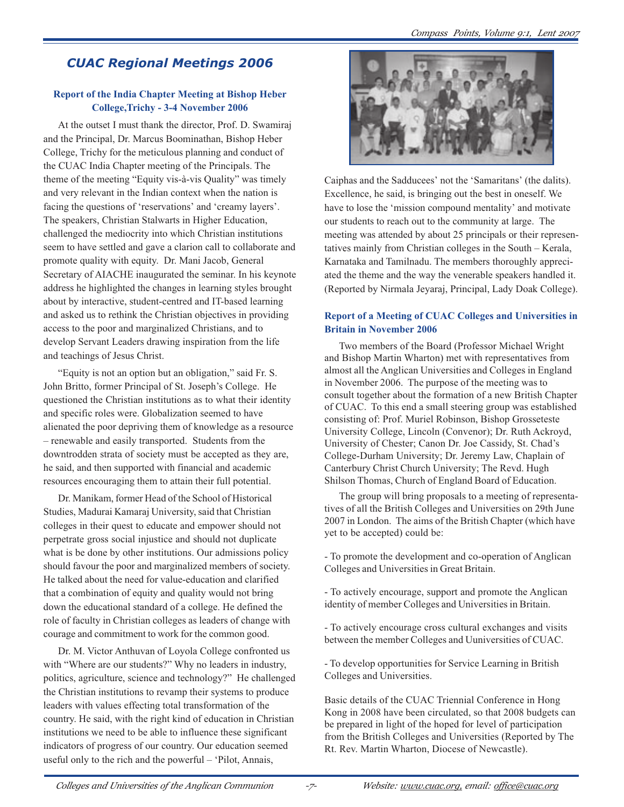## *CUAC Regional Meetings 2006*

#### **Report of the India Chapter Meeting at Bishop Heber College,Trichy - 3-4 November 2006**

At the outset I must thank the director, Prof. D. Swamiraj and the Principal, Dr. Marcus Boominathan, Bishop Heber College, Trichy for the meticulous planning and conduct of the CUAC India Chapter meeting of the Principals. The theme of the meeting "Equity vis-à-vis Quality" was timely and very relevant in the Indian context when the nation is facing the questions of 'reservations' and 'creamy layers'. The speakers, Christian Stalwarts in Higher Education, challenged the mediocrity into which Christian institutions seem to have settled and gave a clarion call to collaborate and promote quality with equity. Dr. Mani Jacob, General Secretary of AIACHE inaugurated the seminar. In his keynote address he highlighted the changes in learning styles brought about by interactive, student-centred and IT-based learning and asked us to rethink the Christian objectives in providing access to the poor and marginalized Christians, and to develop Servant Leaders drawing inspiration from the life and teachings of Jesus Christ.

"Equity is not an option but an obligation," said Fr. S. John Britto, former Principal of St. Joseph's College. He questioned the Christian institutions as to what their identity and specific roles were. Globalization seemed to have alienated the poor depriving them of knowledge as a resource – renewable and easily transported. Students from the downtrodden strata of society must be accepted as they are, he said, and then supported with financial and academic resources encouraging them to attain their full potential.

Dr. Manikam, former Head of the School of Historical Studies, Madurai Kamaraj University, said that Christian colleges in their quest to educate and empower should not perpetrate gross social injustice and should not duplicate what is be done by other institutions. Our admissions policy should favour the poor and marginalized members of society. He talked about the need for value-education and clarified that a combination of equity and quality would not bring down the educational standard of a college. He defined the role of faculty in Christian colleges as leaders of change with courage and commitment to work for the common good.

Dr. M. Victor Anthuvan of Loyola College confronted us with "Where are our students?" Why no leaders in industry, politics, agriculture, science and technology?" He challenged the Christian institutions to revamp their systems to produce leaders with values effecting total transformation of the country. He said, with the right kind of education in Christian institutions we need to be able to influence these significant indicators of progress of our country. Our education seemed useful only to the rich and the powerful – 'Pilot, Annais,



Caiphas and the Sadducees' not the 'Samaritans' (the dalits). Excellence, he said, is bringing out the best in oneself. We have to lose the 'mission compound mentality' and motivate our students to reach out to the community at large. The meeting was attended by about 25 principals or their representatives mainly from Christian colleges in the South – Kerala, Karnataka and Tamilnadu. The members thoroughly appreciated the theme and the way the venerable speakers handled it. (Reported by Nirmala Jeyaraj, Principal, Lady Doak College).

#### **Report of a Meeting of CUAC Colleges and Universities in Britain in November 2006**

Two members of the Board (Professor Michael Wright and Bishop Martin Wharton) met with representatives from almost all the Anglican Universities and Colleges in England in November 2006. The purpose of the meeting was to consult together about the formation of a new British Chapter of CUAC. To this end a small steering group was established consisting of: Prof. Muriel Robinson, Bishop Grosseteste University College, Lincoln (Convenor); Dr. Ruth Ackroyd, University of Chester; Canon Dr. Joe Cassidy, St. Chad's College-Durham University; Dr. Jeremy Law, Chaplain of Canterbury Christ Church University; The Revd. Hugh Shilson Thomas, Church of England Board of Education.

The group will bring proposals to a meeting of representatives of all the British Colleges and Universities on 29th June 2007 in London. The aims of the British Chapter (which have yet to be accepted) could be:

- To promote the development and co-operation of Anglican Colleges and Universities in Great Britain.

- To actively encourage, support and promote the Anglican identity of member Colleges and Universities in Britain.

- To actively encourage cross cultural exchanges and visits between the member Colleges and Uuniversities of CUAC.

- To develop opportunities for Service Learning in British Colleges and Universities.

Basic details of the CUAC Triennial Conference in Hong Kong in 2008 have been circulated, so that 2008 budgets can be prepared in light of the hoped for level of participation from the British Colleges and Universities (Reported by The Rt. Rev. Martin Wharton, Diocese of Newcastle).